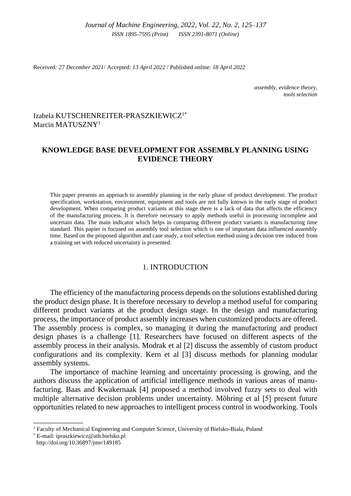Received*: 27 December 2021*/ Accepted: *13 April 2022* / Published online: *18 April 2022*

*assembly, evidence theory, tools selection*

# Izabela KUTSCHENREITER-PRASZKIEWICZ1\* Marcin MATUSZNY<sup>1</sup>

# **KNOWLEDGE BASE DEVELOPMENT FOR ASSEMBLY PLANNING USING EVIDENCE THEORY**

This paper presents an approach to assembly planning in the early phase of product development. The product specification, workstation, environment, equipment and tools are not fully known in the early stage of product development. When comparing product variants at this stage there is a lack of data that affects the efficiency of the manufacturing process. It is therefore necessary to apply methods useful in processing incomplete and uncertain data. The main indicator which helps in comparing different product variants is manufacturing time standard. This papier is focused on assembly tool selection which is one of important data influenced assembly time. Based on the proposed algorithm and case study, a tool selection method using a decision tree induced from a training set with reduced uncertainty is presented.

## 1. INTRODUCTION

The efficiency of the manufacturing process depends on the solutions established during the product design phase. It is therefore necessary to develop a method useful for comparing different product variants at the product design stage. In the design and manufacturing process, the importance of product assembly increases when customized products are offered. The assembly process is complex, so managing it during the manufacturing and product design phases is a challenge [1]. Researchers have focused on different aspects of the assembly process in their analysis. Modrak et al [2] discuss the assembly of custom product configurations and its complexity. Kern et al [3] discuss methods for planning modular assembly systems.

The importance of machine learning and uncertainty processing is growing, and the authors discuss the application of artificial intelligence methods in various areas of manufacturing. Baas and Kwakernaak [4] proposed a method involved fuzzy sets to deal with multiple alternative decision problems under uncertainty. Möhring et al [5] present future opportunities related to new approaches to intelligent process control in woodworking. Tools

\_\_\_\_\_\_\_\_\_\_\_\_\_

<sup>1</sup> Faculty of Mechanical Engineering and Computer Science, University of Bielsko-Biala, Poland

<sup>\*</sup> E-mail: ipraszkiewicz@ath.bielsko.pl http://doi.org/10.36897/jme/149185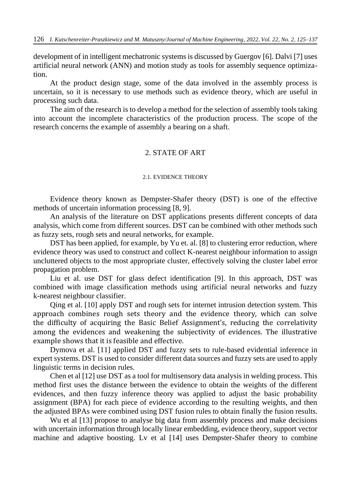development of in intelligent mechatronic systems is discussed by Guergov [6]. Dalvi [7] uses artificial neural network (ANN) and motion study as tools for assembly sequence optimization.

At the product design stage, some of the data involved in the assembly process is uncertain, so it is necessary to use methods such as evidence theory, which are useful in processing such data.

The aim of the research is to develop a method for the selection of assembly tools taking into account the incomplete characteristics of the production process. The scope of the research concerns the example of assembly a bearing on a shaft.

### 2. STATE OF ART

#### 2.1. EVIDENCE THEORY

Evidence theory known as Dempster-Shafer theory (DST) is one of the effective methods of uncertain information processing [8, 9].

An analysis of the literature on DST applications presents different concepts of data analysis, which come from different sources. DST can be combined with other methods such as fuzzy sets, rough sets and neural networks, for example.

DST has been applied, for example, by Yu et. al. [8] to clustering error reduction, where evidence theory was used to construct and collect K-nearest neighbour information to assign uncluttered objects to the most appropriate cluster, effectively solving the cluster label error propagation problem.

Liu et al. use DST for glass defect identification [9]. In this approach, DST was combined with image classification methods using artificial neural networks and fuzzy k-nearest neighbour classifier.

Qing et al. [10] apply DST and rough sets for internet intrusion detection system. This approach combines rough sets theory and the evidence theory, which can solve the difficulty of acquiring the Basic Belief Assignment's, reducing the correlativity among the evidences and weakening the subjectivity of evidences. The illustrative example shows that it is feasible and effective.

Dymova et al. [11] applied DST and fuzzy sets to rule-based evidential inference in expert systems. DST is used to consider different data sources and fuzzy sets are used to apply linguistic terms in decision rules.

Chen et al [12] use DST as a tool for multisensory data analysis in welding process. This method first uses the distance between the evidence to obtain the weights of the different evidences, and then fuzzy inference theory was applied to adjust the basic probability assignment (BPA) for each piece of evidence according to the resulting weights, and then the adjusted BPAs were combined using DST fusion rules to obtain finally the fusion results.

Wu et al [13] propose to analyse big data from assembly process and make decisions with uncertain information through locally linear embedding, evidence theory, support vector machine and adaptive boosting. Lv et al [14] uses Dempster-Shafer theory to combine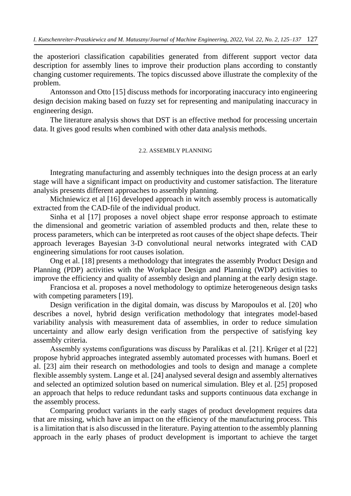the aposteriori classification capabilities generated from different support vector data description for assembly lines to improve their production plans according to constantly changing customer requirements. The topics discussed above illustrate the complexity of the problem.

Antonsson and Otto [15] discuss methods for incorporating inaccuracy into engineering design decision making based on fuzzy set for representing and manipulating inaccuracy in engineering design.

The literature analysis shows that DST is an effective method for processing uncertain data. It gives good results when combined with other data analysis methods.

### 2.2. ASSEMBLY PLANNING

Integrating manufacturing and assembly techniques into the design process at an early stage will have a significant impact on productivity and customer satisfaction. The literature analysis presents different approaches to assembly planning.

Michniewicz et al [16] developed approach in witch assembly process is automatically extracted from the CAD-file of the individual product.

Sinha et al [17] proposes a novel object shape error response approach to estimate the dimensional and geometric variation of assembled products and then, relate these to process parameters, which can be interpreted as root causes of the object shape defects. Their approach leverages Bayesian 3-D convolutional neural networks integrated with CAD engineering simulations for root causes isolation.

Ong et al. [18] presents a methodology that integrates the assembly Product Design and Planning (PDP) activities with the Workplace Design and Planning (WDP) activities to improve the efficiency and quality of assembly design and planning at the early design stage.

Franciosa et al. proposes a novel methodology to optimize heterogeneous design tasks with competing parameters [19].

Design verification in the digital domain, was discuss by Maropoulos et al. [20] who describes a novel, hybrid design verification methodology that integrates model-based variability analysis with measurement data of assemblies, in order to reduce simulation uncertainty and allow early design verification from the perspective of satisfying key assembly criteria.

Assembly systems configurations was discuss by Paralikas et al. [21]. Krüger et al [22] propose hybrid approaches integrated assembly automated processes with humans. Boerl et al. [23] aim their research on methodologies and tools to design and manage a complete flexible assembly system. Lange et al. [24] analysed several design and assembly alternatives and selected an optimized solution based on numerical simulation. Bley et al. [25] proposed an approach that helps to reduce redundant tasks and supports continuous data exchange in the assembly process.

Comparing product variants in the early stages of product development requires data that are missing, which have an impact on the efficiency of the manufacturing process. This is a limitation that is also discussed in the literature. Paying attention to the assembly planning approach in the early phases of product development is important to achieve the target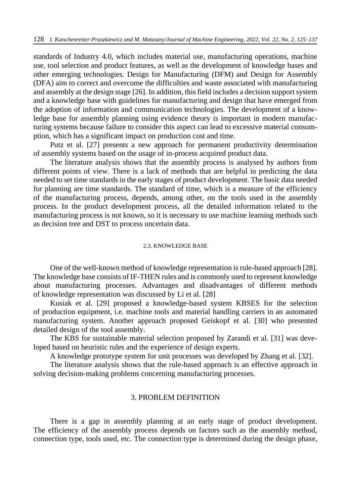standards of Industry 4.0, which includes material use, manufacturing operations, machine use, tool selection and product features, as well as the development of knowledge bases and other emerging technologies. Design for Manufacturing (DFM) and Design for Assembly (DFA) aim to correct and overcome the difficulties and waste associated with manufacturing and assembly at the design stage [26]. In addition, this field includes a decision support system and a knowledge base with guidelines for manufacturing and design that have emerged from the adoption of information and communication technologies. The development of a knowledge base for assembly planning using evidence theory is important in modern manufacturing systems because failure to consider this aspect can lead to excessive material consumption, which has a significant impact on production cost and time.

Putz et al. [27] presents a new approach for permanent productivity determination of assembly systems based on the usage of in-process acquired product data.

The literature analysis shows that the assembly process is analysed by authors from different points of view. There is a lack of methods that are helpful in predicting the data needed to set time standards in the early stages of product development. The basic data needed for planning are time standards. The standard of time, which is a measure of the efficiency of the manufacturing process, depends, among other, on the tools used in the assembly process. In the product development process, all the detailed information related to the manufacturing process is not known, so it is necessary to use machine learning methods such as decision tree and DST to process uncertain data.

#### 2.3. KNOWLEDGE BASE

One of the well-known method of knowledge representation is rule-based approach [28]. The knowledge base consists of IF-THEN rules and is commonly used to represent knowledge about manufacturing processes. Advantages and disadvantages of different methods of knowledge representation was discussed by Li et al. [28]

Kusiak et al. [29] proposed a knowledge-based system KBSES for the selection of production equipment, i.e. machine tools and material handling carriers in an automated manufacturing system. Another approach proposed Geiskopf et al. [30] who presented detailed design of the tool assembly.

The KBS for sustainable material selection proposed by Zarandi et al. [31] was developed based on heuristic rules and the experience of design experts.

A knowledge prototype system for unit processes was developed by Zhang et al. [32].

The literature analysis shows that the rule-based approach is an effective approach in solving decision-making problems concerning manufacturing processes.

### 3. PROBLEM DEFINITION

There is a gap in assembly planning at an early stage of product development. The efficiency of the assembly process depends on factors such as the assembly method, connection type, tools used, etc. The connection type is determined during the design phase,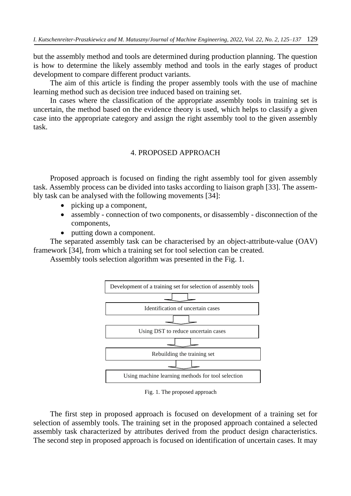but the assembly method and tools are determined during production planning. The question is how to determine the likely assembly method and tools in the early stages of product development to compare different product variants.

The aim of this article is finding the proper assembly tools with the use of machine learning method such as decision tree induced based on training set.

In cases where the classification of the appropriate assembly tools in training set is uncertain, the method based on the evidence theory is used, which helps to classify a given case into the appropriate category and assign the right assembly tool to the given assembly task.

## 4. PROPOSED APPROACH

Proposed approach is focused on finding the right assembly tool for given assembly task. Assembly process can be divided into tasks according to liaison graph [33]. The assembly task can be analysed with the following movements [34]:

- picking up a component,
- assembly connection of two components, or disassembly disconnection of the components,
- putting down a component.

The separated assembly task can be characterised by an object-attribute-value (OAV) framework [34], from which a training set for tool selection can be created.

Assembly tools selection algorithm was presented in the Fig. 1.



Fig. 1. The proposed approach

The first step in proposed approach is focused on development of a training set for selection of assembly tools. The training set in the proposed approach contained a selected assembly task characterized by attributes derived from the product design characteristics. The second step in proposed approach is focused on identification of uncertain cases. It may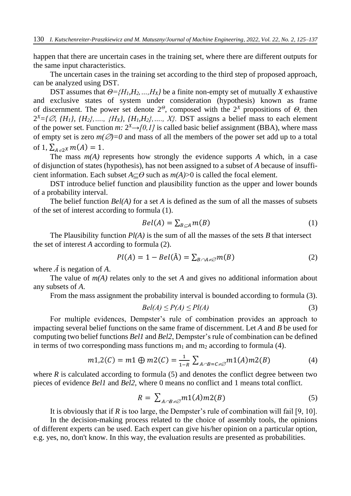happen that there are uncertain cases in the training set, where there are different outputs for the same input characteristics.

The uncertain cases in the training set according to the third step of proposed approach, can be analyzed using DST.

DST assumes that  $\Theta = \{H_1, H_2, ..., H_X\}$  be a finite non-empty set of mutually *X* exhaustive and exclusive states of system under consideration (hypothesis) known as frame of discernment. The power set denote 2*<sup>Θ</sup>*, composed with the 2*<sup>X</sup>* propositions of *Θ,* then  $2^{X} = \{ \emptyset, \{H_1\}, \{H_2\}, \ldots, \{H_X\}, \{H_1, H_2\}, \ldots, X \}$ . DST assigns a belief mass to each element of the power set. Function *m*:  $2^X \rightarrow [0,1]$  is called basic belief assignment (BBA), where mass of empty set is zero  $m(\emptyset)=0$  and mass of all the members of the power set add up to a total of 1,  $\sum_{A \in 2^X} m(A) = 1$ .

The mass  $m(A)$  represents how strongly the evidence supports  $A$  which, in a case of disjunction of states (hypothesis), has not been assigned to a subset of *A* because of insufficient information. Each subset  $A \subset \Theta$  such as  $m(A) > 0$  is called the focal element.

DST introduce belief function and plausibility function as the upper and lower bounds of a probability interval.

The belief function *Bel(A)* for a set *A* is defined as the sum of all the masses of subsets of the set of interest according to formula (1).

$$
Bel(A) = \sum_{B \subseteq A} m(B) \tag{1}
$$

The Plausibility function *Pl(A)* is the sum of all the masses of the sets *B* that intersect the set of interest *A* according to formula (2).

$$
Pl(A) = 1 - Bel(\bar{A}) = \sum_{B \cap A \neq \emptyset} m(B) \tag{2}
$$

where  $\bar{A}$  is negation of A.

The value of *m(A)* relates only to the set *A* and gives no additional information about any subsets of *A*.

From the mass assignment the probability interval is bounded according to formula (3).

$$
Bel(A) \le P(A) \le Pl(A)
$$
\n(3)

For multiple evidences, Dempster's rule of combination provides an approach to impacting several belief functions on the same frame of discernment. Let *A* and *B* be used for computing two belief functions *Bel1* and *Bel2*, Dempster's rule of combination can be defined in terms of two corresponding mass functions  $m_1$  and  $m_2$  according to formula (4).

$$
m1,2(C) = m1 \oplus m2(C) = \frac{1}{1-R} \sum_{A \cap B = C \neq \emptyset} m1(A)m2(B)
$$
 (4)

where  $R$  is calculated according to formula (5) and denotes the conflict degree between two pieces of evidence *Bel1* and *Bel2*, where 0 means no conflict and 1 means total conflict.

$$
R = \sum_{A \cap B \neq \emptyset} m1(A)m2(B) \tag{5}
$$

It is obviously that if *R* is too large, the Dempster's rule of combination will fail [9, 10].

In the decision-making process related to the choice of assembly tools, the opinions of different experts can be used. Each expert can give his/her opinion on a particular option, e.g. yes, no, don't know. In this way, the evaluation results are presented as probabilities.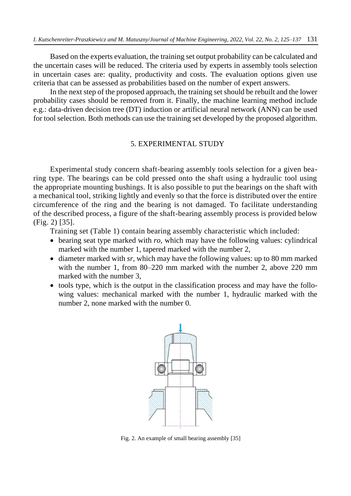Based on the experts evaluation, the training set output probability can be calculated and the uncertain cases will be reduced. The criteria used by experts in assembly tools selection in uncertain cases are: quality, productivity and costs. The evaluation options given use criteria that can be assessed as probabilities based on the number of expert answers.

In the next step of the proposed approach, the training set should be rebuilt and the lower probability cases should be removed from it. Finally, the machine learning method include e.g.: data-driven decision tree (DT) induction or artificial neural network (ANN) can be used for tool selection. Both methods can use the training set developed by the proposed algorithm.

### 5. EXPERIMENTAL STUDY

Experimental study concern shaft-bearing assembly tools selection for a given bearing type. The bearings can be cold pressed onto the shaft using a hydraulic tool using the appropriate mounting bushings. It is also possible to put the bearings on the shaft with a mechanical tool, striking lightly and evenly so that the force is distributed over the entire circumference of the ring and the bearing is not damaged. To facilitate understanding of the described process, a figure of the shaft-bearing assembly process is provided below (Fig. 2) [35].

Training set (Table 1) contain bearing assembly characteristic which included:

- bearing seat type marked with *ro*, which may have the following values: cylindrical marked with the number 1, tapered marked with the number 2,
- diameter marked with *sr*, which may have the following values: up to 80 mm marked with the number 1, from 80–220 mm marked with the number 2, above 220 mm marked with the number 3,
- tools type, which is the output in the classification process and may have the following values: mechanical marked with the number 1, hydraulic marked with the number 2, none marked with the number 0.



Fig. 2. An example of small bearing assembly [35]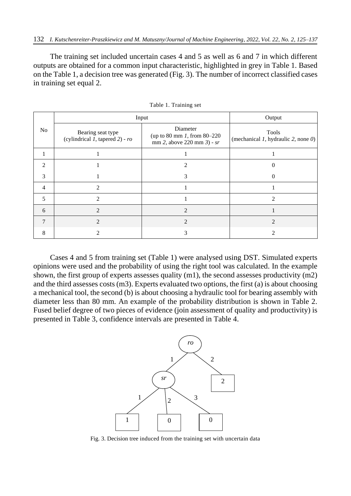The training set included uncertain cases 4 and 5 as well as 6 and 7 in which different outputs are obtained for a common input characteristic, highlighted in grey in Table 1. Based on the Table 1, a decision tree was generated (Fig. 3). The number of incorrect classified cases in training set equal 2.

|                | Input                                                        | Output                                                                      |                                                 |
|----------------|--------------------------------------------------------------|-----------------------------------------------------------------------------|-------------------------------------------------|
| No             | Bearing seat type<br>(cylindrical $1$ , tapered $2$ ) - $ro$ | Diameter<br>(up to 80 mm $1$ , from 80–220<br>$mm 2$ , above 220 mm 3) - sr | Tools<br>(mechanical 1, hydraulic 2, none $0$ ) |
|                |                                                              |                                                                             |                                                 |
| $\mathfrak{D}$ |                                                              |                                                                             | 0                                               |
| 3              |                                                              | 3                                                                           | $\Omega$                                        |
| $\overline{4}$ | $\mathcal{D}$                                                |                                                                             |                                                 |
| 5              | $\mathcal{D}$                                                |                                                                             | っ                                               |
| 6              | 2                                                            | 2                                                                           |                                                 |
|                | 2                                                            | 2                                                                           | 2                                               |
| 8              |                                                              |                                                                             |                                                 |

Table 1. Training set

Cases 4 and 5 from training set (Table 1) were analysed using DST. Simulated experts opinions were used and the probability of using the right tool was calculated. In the example shown, the first group of experts assesses quality (m1), the second assesses productivity (m2) and the third assesses costs (m3). Experts evaluated two options, the first (a) is about choosing a mechanical tool, the second (b) is about choosing a hydraulic tool for bearing assembly with diameter less than 80 mm. An example of the probability distribution is shown in Table 2. Fused belief degree of two pieces of evidence (join assessment of quality and productivity) is presented in Table 3, confidence intervals are presented in Table 4.



Fig. 3. Decision tree induced from the training set with uncertain data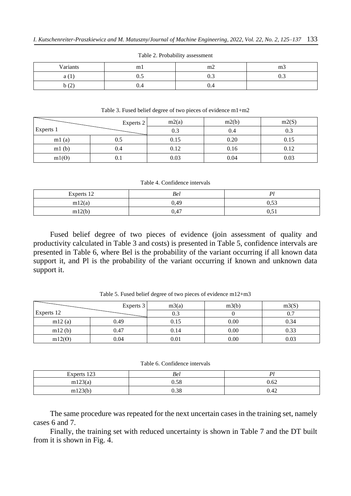| Variants           | ml  | m2        | m3   |
|--------------------|-----|-----------|------|
| a (1               | ∪.∪ | Λ<br>v. J | v. J |
| $\sqrt{2}$<br>b(2) | U.4 | ⌒<br>V.4  |      |

#### Table 2. Probability assessment

Table 3. Fused belief degree of two pieces of evidence m1+m2

| Experts 2    |     | m2(a) | m2(b) | m2(S) |
|--------------|-----|-------|-------|-------|
| Experts 1    |     | 0.3   | 0.4   | 0.3   |
| ml(a)        | 0.5 | 0.15  | 0.20  | 0.15  |
| ml(b)        | 0.4 | 0.12  | 0.16  | 0.12  |
| $m1(\Theta)$ | 0.1 | 0.03  | 0.04  | 0.03  |

#### Table 4. Confidence intervals

| Experts 12 | Bel                    | D)                              |
|------------|------------------------|---------------------------------|
| m12(a)     | 0,49                   | $\cap$ $\subset$ $\cap$<br>U.JJ |
| m12(b)     | $\overline{a}$<br>0,47 | $\sim$ 4<br>v, v1               |

Fused belief degree of two pieces of evidence (join assessment of quality and productivity calculated in Table 3 and costs) is presented in Table 5, confidence intervals are presented in Table 6, where Bel is the probability of the variant occurring if all known data support it, and Pl is the probability of the variant occurring if known and unknown data support it.

|               | Experts 3 | m3(a) | m3(b) | m3(S) |
|---------------|-----------|-------|-------|-------|
| Experts 12    |           | 0.3   |       |       |
| m12(a)        | 0.49      | 0.15  | 0.00  | 0.34  |
| m12(b)        | 0.47      | 0.14  | 0.00  | 0.33  |
| $m12(\Theta)$ | 0.04      | 0.01  | 0.00  | 0.03  |

Table 5. Fused belief degree of two pieces of evidence m12+m3

Table 6. Confidence intervals

| Experts 123 | Bel  | $\mathbf{D}$ |
|-------------|------|--------------|
| m123(a)     | 0.58 | 0.62         |
| m123(b)     | 0.38 | 0.42         |

The same procedure was repeated for the next uncertain cases in the training set, namely cases 6 and 7.

Finally, the training set with reduced uncertainty is shown in Table 7 and the DT built from it is shown in Fig. 4.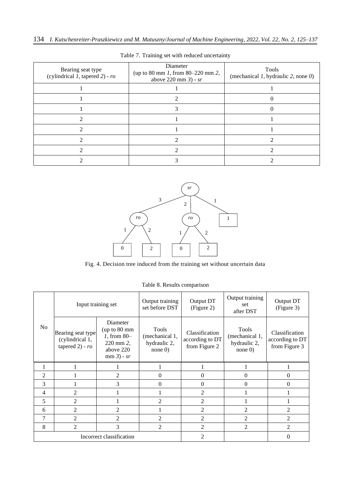| Bearing seat type<br>(cylindrical $1$ , tapered $2$ ) - $ro$ | Diameter<br>(up to 80 mm 1, from $80 - 220$ mm 2,<br>above $220 \text{ mm } 3$ ) - sr | Tools<br>(mechanical $1$ , hydraulic $2$ , none $0$ ) |
|--------------------------------------------------------------|---------------------------------------------------------------------------------------|-------------------------------------------------------|
|                                                              |                                                                                       |                                                       |
|                                                              |                                                                                       |                                                       |
|                                                              |                                                                                       |                                                       |
|                                                              |                                                                                       |                                                       |
|                                                              |                                                                                       |                                                       |
|                                                              |                                                                                       |                                                       |
|                                                              |                                                                                       |                                                       |
|                                                              |                                                                                       |                                                       |

Table 7. Training set with reduced uncertainty



Fig. 4. Decision tree induced from the training set without uncertain data

| N <sub>o</sub>           | Input training set                                          |                                                                                    | Output training<br>set before DST                      | Output DT<br>(Figure 2)                            | Output training<br>set<br>after DST                   | Output DT<br>(Figure 3)                            |
|--------------------------|-------------------------------------------------------------|------------------------------------------------------------------------------------|--------------------------------------------------------|----------------------------------------------------|-------------------------------------------------------|----------------------------------------------------|
|                          | Bearing seat type<br>(cylindrical 1,<br>tapered $2)$ - $ro$ | Diameter<br>(up to 80 mm<br>$1,$ from 80-<br>220 mm 2,<br>above 220<br>$mm3)$ - sr | Tools<br>(mechanical 1,<br>hydraulic 2,<br>$none$ $0)$ | Classification<br>according to DT<br>from Figure 2 | Tools<br>(mechanical 1,<br>hydraulic 2,<br>none $0$ ) | Classification<br>according to DT<br>from Figure 3 |
| 1                        |                                                             |                                                                                    | 1                                                      |                                                    |                                                       |                                                    |
| $\overline{2}$           |                                                             | 2                                                                                  | $\theta$                                               | $\theta$                                           | 0                                                     | $\theta$                                           |
| 3                        |                                                             | 3                                                                                  | $\Omega$                                               | $\Omega$                                           | $\theta$                                              | 0                                                  |
| $\overline{4}$           | $\overline{2}$                                              |                                                                                    |                                                        | $\overline{2}$                                     |                                                       |                                                    |
| 5                        | $\overline{2}$                                              |                                                                                    | $\overline{2}$                                         | 2                                                  |                                                       |                                                    |
| 6                        | 2                                                           | 2                                                                                  | 1                                                      | 2                                                  | $\mathfrak{D}$                                        | $\mathfrak{D}$                                     |
| 7                        | $\mathfrak{D}$                                              | $\overline{2}$                                                                     | $\mathfrak{D}$                                         | 2                                                  | $\mathfrak{D}$                                        | $\mathfrak{D}$                                     |
| 8                        | $\overline{2}$                                              | 3                                                                                  | $\overline{2}$                                         | $\overline{2}$                                     | 2                                                     | $\overline{2}$                                     |
| Incorrect classification |                                                             |                                                                                    | $\overline{2}$                                         |                                                    | $\Omega$                                              |                                                    |

Table 8. Results comparison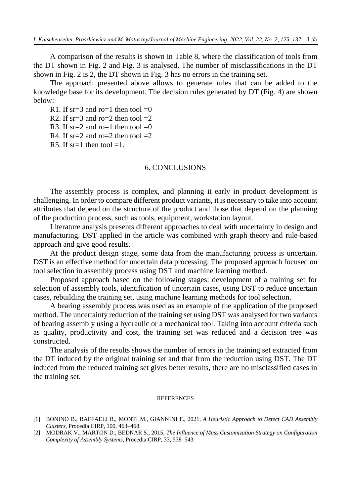A comparison of the results is shown in Table 8, where the classification of tools from the DT shown in Fig. 2 and Fig. 3 is analysed. The number of misclassifications in the DT shown in Fig. 2 is 2, the DT shown in Fig. 3 has no errors in the training set.

The approach presented above allows to generate rules that can be added to the knowledge base for its development. The decision rules generated by DT (Fig. 4) are shown below:

R1. If  $sr=3$  and ro=1 then tool =0 R2. If  $sr=3$  and ro=2 then tool =2 R3. If  $sr=2$  and ro=1 then tool =0 R4. If  $sr=2$  and ro=2 then tool =2 R5. If  $sr=1$  then tool  $=1$ .

### 6. CONCLUSIONS

The assembly process is complex, and planning it early in product development is challenging. In order to compare different product variants, it is necessary to take into account attributes that depend on the structure of the product and those that depend on the planning of the production process, such as tools, equipment, workstation layout.

Literature analysis presents different approaches to deal with uncertainty in design and manufacturing. DST applied in the article was combined with graph theory and rule-based approach and give good results.

At the product design stage, some data from the manufacturing process is uncertain. DST is an effective method for uncertain data processing. The proposed approach focused on tool selection in assembly process using DST and machine learning method.

Proposed approach based on the following stages: development of a training set for selection of assembly tools, identification of uncertain cases, using DST to reduce uncertain cases, rebuilding the training set, using machine learning methods for tool selection.

A bearing assembly process was used as an example of the application of the proposed method. The uncertainty reduction of the training set using DST was analysed for two variants of bearing assembly using a hydraulic or a mechanical tool. Taking into account criteria such as quality, productivity and cost, the training set was reduced and a decision tree was constructed.

The analysis of the results shows the number of errors in the training set extracted from the DT induced by the original training set and that from the reduction using DST. The DT induced from the reduced training set gives better results, there are no misclassified cases in the training set.

#### **REFERENCES**

- [1] BONINO B., RAFFAELI R., MONTI M., GIANNINI F., 2021, *A Heuristic Approach to Detect CAD Assembly Clusters*, Procedia CIRP, 100, 463–468.
- [2] MODRAK V., MARTON D., BEDNAR S., 2015, *The Influence of Mass Customization Strategy on Configuration Complexity of Assembly Systems*, Procedia CIRP, 33, 538–543.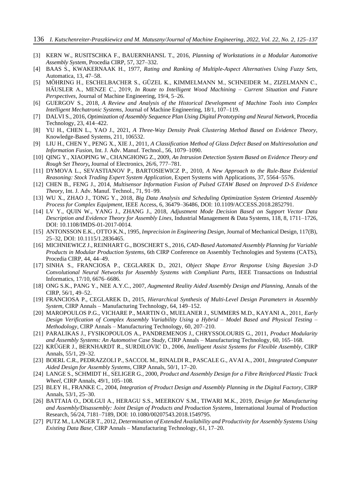- [3] KERN W., RUSITSCHKA F., BAUERNHANSL T., 2016, *Planning of Workstations in a Modular Automotive Assembly System*, Procedia CIRP, 57, 327–332.
- [4] BAAS S., KWAKERNAAK H., 1977, *Rating and Ranking of Multiple-Aspect Alternatives Using Fuzzy Sets*, Automatica, 13, 47–58.
- [5] MÖHRING H., ESCHELBACHER S., GÜZEL K., KIMMELMANN M., SCHNEIDER M., ZIZELMANN C., HÄUSLER A., MENZE C., 2019, *In Route to Intelligent Wood Machining – Current Situation and Future Perspectives*, Journal of Machine Engineering, 19/4, 5–26.
- [6] GUERGOV S., 2018, *A Review and Analysis of the Historical Development of Machine Tools into Complex Intelligent Mechatronic Systems*, Journal of Machine Engineering, 18/1, 107–119.
- [7] DALVI S., 2016, *Optimization of Assembly Sequence Plan Using Digital Prototyping and Neural Network*, Procedia Technology, 23, 414–422.
- [8] YU H., CHEN L., YAO J., 2021, *A Three-Way Density Peak Clustering Method Based on Evidence Theory*, Knowledge-Based Systems, 211, 106532.
- [9] LIU H., CHEN Y., PENG X., XIE J., 2011, *A Classification Method of Glass Defect Based on Multiresolution and Information Fusion*, Int. J. Adv. Manuf. Technol., 56, 1079–1090.
- [10] QING Y., XIAOPING W., CHANGHONG Z., 2009, *An Intrusion Detection System Based on Evidence Theory and Rough Set Theory***,** Journal of Electronics, 26/6, 777–781.
- [11] DYMOVA L., SEVASTIANOV P., BARTOSIEWICZ P., 2010, *A New Approach to the Rule-Base Evidential Reasoning: Stock Trading Expert System Application*, Expert Systems with Applications, 37, 5564–5576.
- [12] CHEN B., FENG J., 2014, *Multisensor Information Fusion of Pulsed GTAW Based on Improved D-S Evidence Theory*, Int. J. Adv. Manuf. Technol., 71, 91–99.
- [13] WU X., ZHAO J., TONG Y., 2018, *Big Data Analysis and Scheduling Optimization System Oriented Assembly Process for Complex Equipment*, IEEE Access, 6, 36479–36486, DOI: 10.1109/ACCESS.2018.2852791.
- [14] LV Y., QUIN W., YANG J., ZHANG J., 2018, *Adjustment Mode Decision Based on Support Vector Data Description and Evidence Theory for Assembly Lines,* Industrial Management & Data Systems, 118, 8, 1711–1726, DOI: 10.1108/IMDS-01-2017-0014.
- [15] ANTONSSON E.K., OTTO K.N., 1995*, Imprecision in Engineering Design*, Journal of Mechanical Design, 117(B), 25–32, DOI: 10.1115/1.2836465.
- [16] MICHNIEWICZ J., REINHART G., BOSCHERT S., 2016, *CAD-Based Automated Assembly Planning for Variable Products in Modular Production Systems*, 6th CIRP Conference on Assembly Technologies and Systems (CATS), Procedia CIRP, 44, 44–49.
- [17] SINHA S., FRANCIOSA P., CEGLAREK D., 2021, *Object Shape Error Response Using Bayesian 3-D Convolutional Neural Networks for Assembly Systems with Compliant Parts*, IEEE Transactions on Industrial Informatics, 17/10, 6676–6686.
- [18] ONG S.K., PANG Y., NEE A.Y.C., 2007, *Augmented Reality Aided Assembly Design and Planning,* Annals of the CIRP, 56/1, 49–52.
- [19] FRANCIOSA P., CEGLAREK D., 2015, *Hierarchical Synthesis of Multi-Level Design Parameters in Assembly System*, CIRP Annals – Manufacturing Technology, 64, 149–152.
- [20] MAROPOULOS P.G., VICHARE P., MARTIN O., MUELANER J., SUMMERS M.D., KAYANI A., 2011, *Early Design Verification of Complex Assembly Variability Using a Hybrid – Model Based and Physical Testing – Methodology*, CIRP Annals – Manufacturing Technology, 60, 207–210.
- [21] PARALIKAS J., FYSIKOPOULOS A., PANDREMENOS J., CHRYSSOLOURIS G., 2011, *Product Modularity and Assembly Systems: An Automotive Case Study*, CIRP Annals – Manufacturing Technology, 60, 165–168.
- [22] KRÜGER J., BERNHARDT R., SURDILOVIC D., 2006, *Intelligent Assist Systems for Flexible Assembly,* CIRP Annals, 55/1, 29–32.
- [23] BOERL C.R., PEDRAZZOLI P., SACCOL M., RINALDI R., PASCALE G., AVAI A., 2001, *Integrated Computer Aided Design for Assembly Systems*, CIRP Annals, 50/1, 17–20.
- [24] LANGE S., SCHMIDT H., SELIGER G., 2000, *Product and Assembly Design for a Fibre Reinforced Plastic Track Wheel*, CIRP Annals, 49/1, 105–108.
- [25] BLEY H., FRANKE C., 2004, *Integration of Product Design and Assembly Planning in the Digital Factory,* CIRP Annals, 53/1, 25–30.
- [26] BATTAIA O., DOLGUI A., HERAGU S.S., MEERKOV S.M., TIWARI M.K., 2019, *Design for Manufacturing and Assembly/Disassembly: Joint Design of Products and Production Systems*, International Journal of Production Research, 56/24, 7181–7189, DOI: 10.1080/00207543.2018.1549795.
- [27] PUTZ M., LANGER T., 2012, *Determination of Extended Availability and Productivity for Assembly Systems Using Existing Data Base,* CIRP Annals – Manufacturing Technology, 61, 17–20.